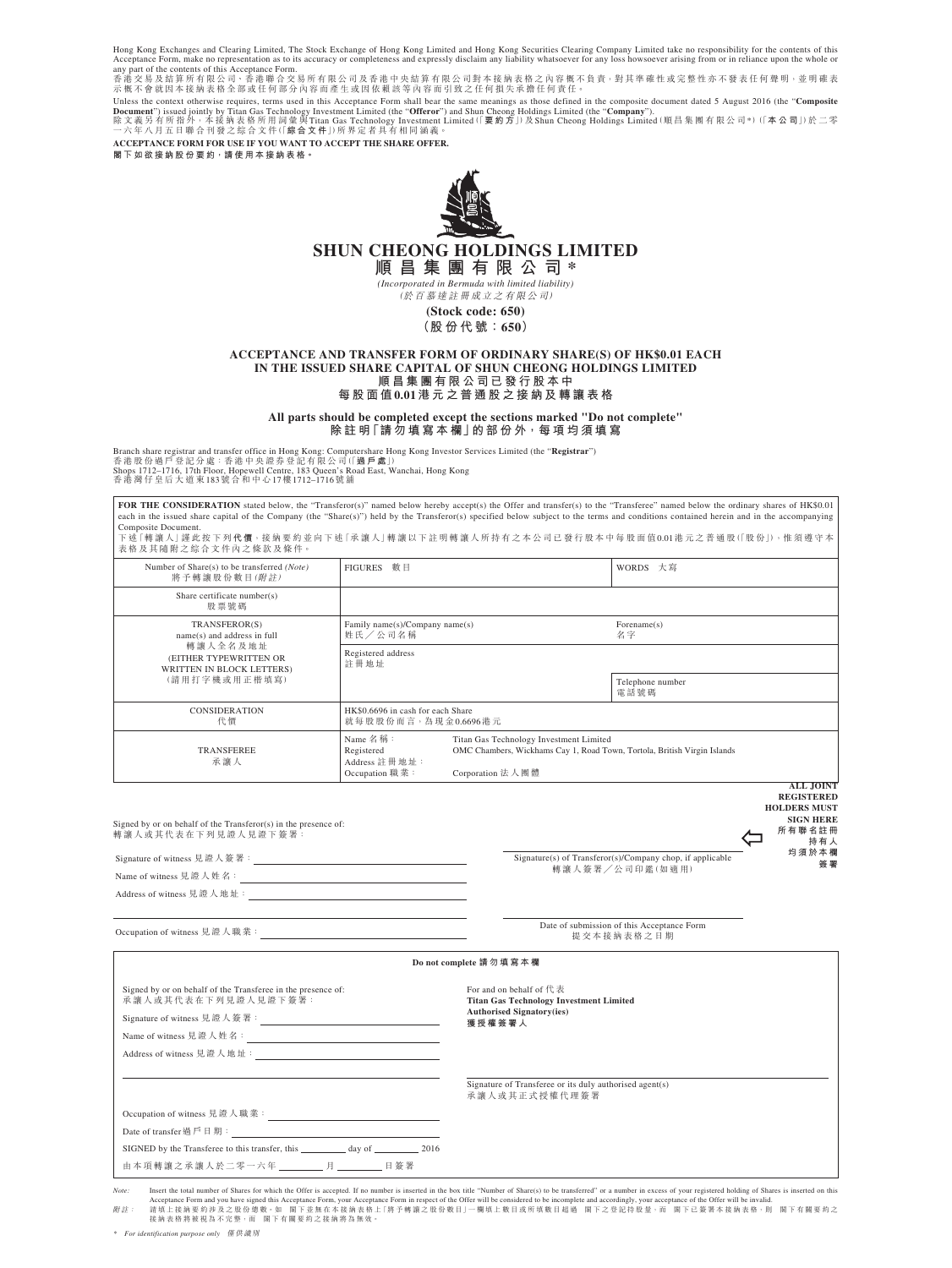Hong Kong Exchanges and Clearing Limited, The Stock Exchange of Hong Kong Limited and Hong Kong Sccurities Clearing Company Limited take no responsibility for the contents of this<br>Acceptance Form, make no representation as

香港交易及結算所有限公司、香港聯合交易所有限公司及香港中央結算有限公司對本接納表格之內容概不負責,對其準確性或完整性亦不發表任何聲明,並明確表<br>示概不會就因本接納表格全部或任何部分內容而產生或因依賴該等內容而引致之任何損失承擔任何責任。

Unless the context otherwise requires, terms used in this Acceptance Form shall bear the same meanings as those defined in the composite document dated 5 August 2016 (the "**Composite**<br>**Document"**) issued jointly by Titan

**ACCEPTANCE FORM FOR USE IF YOU WANT TO ACCEPT THE SHARE OFFER. 閣 下 如 欲 接 納 股 份 要 約,請 使 用 本 接 納 表 格。**



# **SHUN CHEONG HOLDINGS LIMITED**

**順 昌 集 團 有 限 公 司 \*** *(Incorporated in Bermuda with limited liability)*

(於 百 慕 達 註 冊 成 立 之 有 限 公 司)

**(Stock code: 650) (股 份 代 號:650)**

### **ACCEPTANCE AND TRANSFER FORM OF ORDINARY SHARE(S) OF HK\$0.01 EACH IN THE ISSUED SHARE CAPITAL OF SHUN CHEONG HOLDINGS LIMITED 順 昌 集 團 有 限 公 司 已 發 行 股 本 中 每 股 面 值0.01港 元 之 普 通 股 之 接 納 及 轉 讓 表 格**

**All parts should be completed except the sections marked "Do not complete"**

**除 註 明「請 勿 填 寫 本 欄」的 部 份 外,每 項 均 須 填 寫**

Branch share registrar and transfer office in Hong Kong: Computershare Hong Kong Investor Services Limited (the "**Registrar**")<br>香港股份過戶登記分處:香港中央證券登記17日(<br>Shops 1712–1716, 17th Floor, Hopewell Centre, 183 Queen's Road East, W

**FOR THE CONSIDERATION** stated below, the "Transferor(s)" named below hereby accept(s) the Offer and transfer(s) to the "Transferee" named below the ordinary shares of HK\$0.01 each in the issued share capital of the Company (the "Share(s)") held by the Transferor(s) specified below subject to the terms and conditions contained herein and in the accompanying Composite Document.<br>下述「轉讓人」謹此按下列**代價**,接納要約並向下述「承讓人」轉讓以下註明轉讓人所持有之本公司已發行股本中每股面值0.01港元之普通股(「股份」),惟須遵守本 表格及其隨附之綜合文件內之條款及條件。

| Number of Share(s) to be transferred (Note)<br>將予轉讓股份數目(附註)                      | 數目<br><b>FIGURES</b>                                      |                                                                                                                                                     | WORDS 大寫                 |
|----------------------------------------------------------------------------------|-----------------------------------------------------------|-----------------------------------------------------------------------------------------------------------------------------------------------------|--------------------------|
| Share certificate number(s)<br>股票號碼                                              |                                                           |                                                                                                                                                     |                          |
| TRANSFEROR(S)<br>name(s) and address in full                                     | Family name(s)/Company name(s)<br>姓氏/公司名稱                 |                                                                                                                                                     | For example(s)<br>名字     |
| 轉讓人全名及地址<br>(EITHER TYPEWRITTEN OR<br>WRITTEN IN BLOCK LETTERS)<br>(請用打字機或用正楷填寫) | Registered address<br>註冊地址                                |                                                                                                                                                     |                          |
|                                                                                  |                                                           |                                                                                                                                                     | Telephone number<br>電話號碼 |
| <b>CONSIDERATION</b><br>代價                                                       | HK\$0,6696 in cash for each Share<br>就每股股份而言,為現金0.6696港元  |                                                                                                                                                     |                          |
| <b>TRANSFEREE</b><br>承讓人                                                         | Name 名稱:<br>Registered<br>Address 註冊地址:<br>Occupation 職業: | Titan Gas Technology Investment Limited<br>OMC Chambers, Wickhams Cay 1, Road Town, Tortola, British Virgin Islands<br>Corporation 法人團體<br>1.7.7.72 |                          |

**ALL JOIN REGISTERED HOLDERS MUST SIGN HERE 所 有 聯 名 註 冊 持 有 人**

**均 須 於 本 欄**

| Signed by or on behalf of the Transferor(s) in the presence of: |  |
|-----------------------------------------------------------------|--|
| 轉讓人或其代表在下列見證人見證下簽署:                                             |  |
|                                                                 |  |

| Signature of witness 見證人簽署: |  |
|-----------------------------|--|
| Name of witness 見證人姓名:      |  |
| Address of witness 見證人地址:   |  |



Occupation of witness 見 證 人 職 業:

| Date of submission of this Acceptance Form |
|--------------------------------------------|
| 提交本接纳表格之日期                                 |
|                                            |

| Do not complete 請 勿 填 寫 本 欄                                                         |                                                                                                       |  |  |  |
|-------------------------------------------------------------------------------------|-------------------------------------------------------------------------------------------------------|--|--|--|
| Signed by or on behalf of the Transferee in the presence of:<br>承讓人或其代表在下列見證人見證下簽署: | For and on behalf of $f \ddagger \ddagger \ddagger$<br><b>Titan Gas Technology Investment Limited</b> |  |  |  |
|                                                                                     | <b>Authorised Signatory(ies)</b><br>獲授權簽署人                                                            |  |  |  |
|                                                                                     |                                                                                                       |  |  |  |
|                                                                                     |                                                                                                       |  |  |  |
|                                                                                     |                                                                                                       |  |  |  |
|                                                                                     | Signature of Transferee or its duly authorised agent(s)<br>承讓人或其正式授權代理簽署                              |  |  |  |
| Occupation of witness 見證人職業:                                                        |                                                                                                       |  |  |  |
| Date of transfer 過戶日期:                                                              |                                                                                                       |  |  |  |
|                                                                                     |                                                                                                       |  |  |  |
| 由本項轉讓之承讓人於二零一六年 _________ 月 ________ 日簽署                                            |                                                                                                       |  |  |  |

Note: Insert the total number of Shares for which the Offer is accepted. If no number is inserted in the box title "Number of Share(s) to be transferred" or a number in excess of your registered holding of Shares is insert Acceptance Form and you have signed this Acceptance Form, your Acceptance Form in respect of the Offer will be considered to be incomplete and accordingly, your acceptance of the Offer will be invalid.<br>新註: 請集法独對要約涉及之股份總數。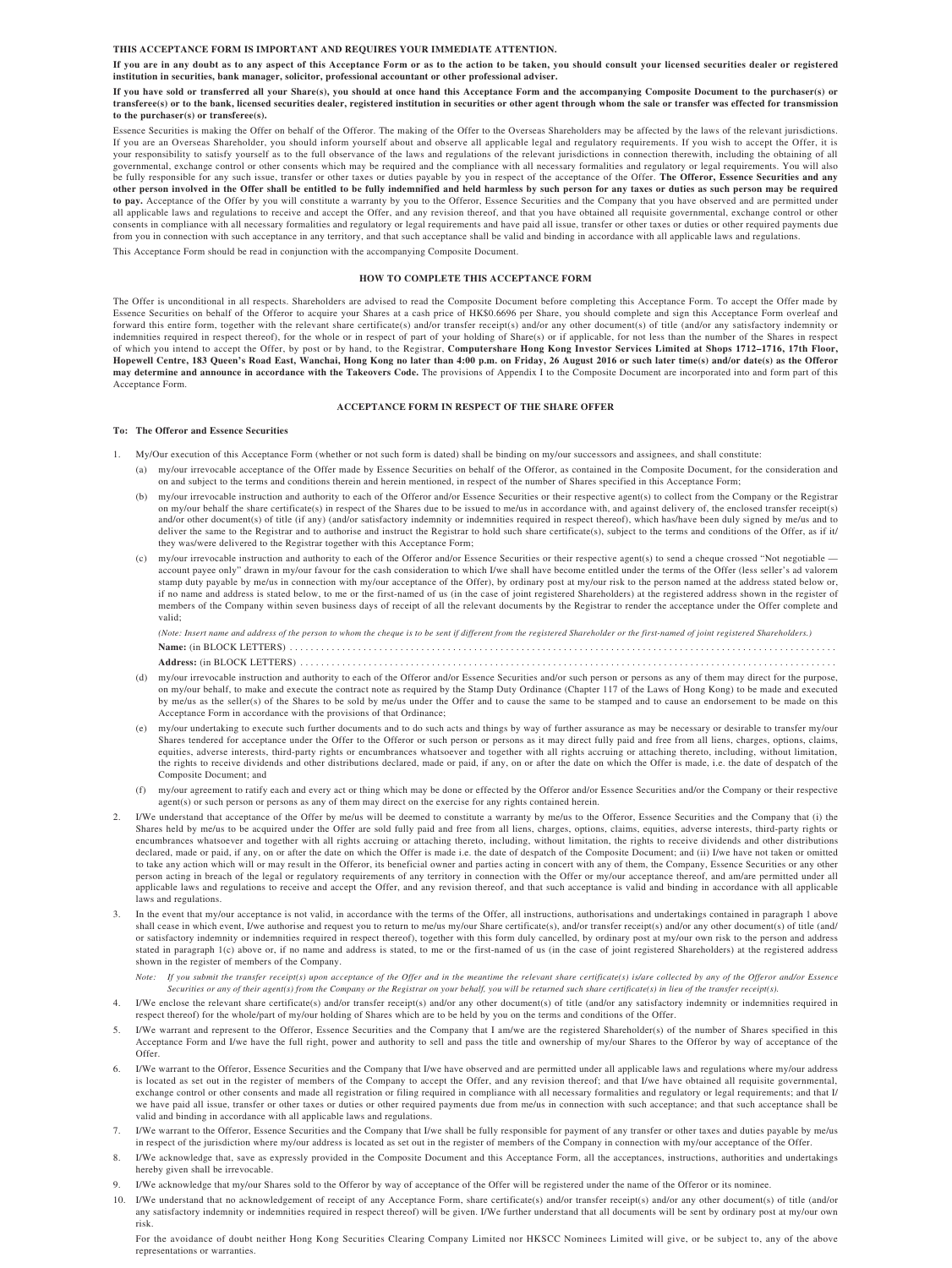#### **THIS ACCEPTANCE FORM IS IMPORTANT AND REQUIRES YOUR IMMEDIATE ATTENTION.**

**If you are in any doubt as to any aspect of this Acceptance Form or as to the action to be taken, you should consult your licensed securities dealer or registered institution in securities, bank manager, solicitor, professional accountant or other professional adviser.**

**If you have sold or transferred all your Share(s), you should at once hand this Acceptance Form and the accompanying Composite Document to the purchaser(s) or transferee(s) or to the bank, licensed securities dealer, registered institution in securities or other agent through whom the sale or transfer was effected for transmission to the purchaser(s) or transferee(s).**

Essence Securities is making the Offer on behalf of the Offeror. The making of the Offer to the Overseas Shareholders may be affected by the laws of the relevant jurisdictions. If you are an Overseas Shareholder, you should inform yourself about and observe all applicable legal and regulatory requirements. If you wish to accept the Offer, it is your responsibility to satisfy yourself as to the full observance of the laws and regulations of the relevant jurisdictions in connection therewith, including the obtaining of all governmental, exchange control or other consents which may be required and the compliance with all necessary formalities and regulatory or legal requirements. You will also be fully responsible for any such issue, transfer or other taxes or duties payable by you in respect of the acceptance of the Offer. **The Offeror, Essence Securities and any other person involved in the Offer shall be entitled to be fully indemnified and held harmless by such person for any taxes or duties as such person may be required**  to pay. Acceptance of the Offer by you will constitute a warranty by you to the Offeror, Essence Securities and the Company that you have observed and are permitted under<br>all applicable laws and regulations to receive and consents in compliance with all necessary formalities and regulatory or legal requirements and have paid all issue, transfer or other taxes or duties or other required payments due<br>consents in compliance with all necessary from you in connection with such acceptance in any territory, and that such acceptance shall be valid and binding in accordance with all applicable laws and regulation

This Acceptance Form should be read in conjunction with the accompanying Composite Document.

### **HOW TO COMPLETE THIS ACCEPTANCE FORM**

The Offer is unconditional in all respects. Shareholders are advised to read the Composite Document before completing this Acceptance Form. To accept the Offer made by Essence Securities on behalf of the Offeror to acquire your Shares at a cash price of HK\$0.6696 per Share, you should complete and sign this Acceptance Form overleaf and<br>forward this entire form, together with the relevant indemnities required in respect thereof), for the whole or in respect of part of your holding of Share(s) or if applicable, for not less than the number of the Shares in respect of which you intend to accept the Offer, by post or by hand, to the Registrar, **Computershare Hong Kong Investor Services Limited at Shops 1712–1716, 17th Floor, Hopewell Centre, 183 Queen's Road East, Wanchai, Hong Kong no later than 4:00 p.m. on Friday, 26 August 2016 or such later time(s) and/or date(s) as the Offeror may determine and announce in accordance with the Takeovers Code.** The provisions of Appendix I to the Composite Document are incorporated into and form part of this Acceptance Form.

# **ACCEPTANCE FORM IN RESPECT OF THE SHARE OFFER**

### **To: The Offeror and Essence Securities**

1. My/Our execution of this Acceptance Form (whether or not such form is dated) shall be binding on my/our successors and assignees, and shall constitute:

- (a) my/our irrevocable acceptance of the Offer made by Essence Securities on behalf of the Offeror, as contained in the Composite Document, for the consideration and on and subject to the terms and conditions therein and herein mentioned, in respect of the number of Shares specified in this Acceptance Form;
- (b) my/our irrevocable instruction and authority to each of the Offeror and/or Essence Securities or their respective agent(s) to collect from the Company or the Registrar on my/our behalf the share certificate(s) in respect of the Shares due to be issued to me/us in accordance with, and against delivery of, the enclosed transfer receipt(s) and/or other document(s) of title (if any) (and/or satisfactory indemnity or indemnities required in respect thereof), which has/have been duly signed by me/us and to deliver the same to the Registrar and to authorise and instruct the Registrar to hold such share certificate(s), subject to the terms and conditions of the Offer, as if it/ they was/were delivered to the Registrar together with this Acceptance Form;
- (c) my/our irrevocable instruction and authority to each of the Offeror and/or Essence Securities or their respective agent(s) to send a cheque crossed "Not negotiable account payee only" drawn in my/our favour for the cash consideration to which I/we shall have become entitled under the terms of the Offer (less seller's ad valorem stamp duty payable by me/us in connection with my/our acceptance of the Offer), by ordinary post at my/our risk to the person named at the address stated below or, if no name and address is stated below, to me or the first-named of us (in the case of joint registered Shareholders) at the registered address shown in the register of<br>members of the Company within seven business days of valid;
	- *(Note: Insert name and address of the person to whom the cheque is to be sent if different from the registered Shareholder or the first-named of joint registered Shareholders.)* **Name:** (in BLOCK LETTERS) . . . . . . . . . . . . . . . . . . . . . . . . . . . . . . . . . . . . . . . . . . . . . . . . . . . . . . . . . . . . . . . . **Address:** (in BLOCK LETTERS) . . . . . . . . . . . . . . . . . . . . . . . . . . . . . . . . . . . . . . . . . . . . . . . . . . . . . . . . . . . . . . . .
- (d) my/our irrevocable instruction and authority to each of the Offeror and/or Essence Securities and/or such person or persons as any of them may direct for the purpose, on my/our behalf, to make and execute the contract note as required by the Stamp Duty Ordinance (Chapter 117 of the Laws of Hong Kong) to be made and executed by me/us as the seller(s) of the Shares to be sold by me/us under the Offer and to cause the same to be stamped and to cause an endorsement to be made on this Acceptance Form in accordance with the provisions of that Ordinance;
- (e) my/our undertaking to execute such further documents and to do such acts and things by way of further assurance as may be necessary or desirable to transfer my/our Shares tendered for acceptance under the Offer to the Offeror or such person or persons as it may direct fully paid and free from all liens, charges, options, claims, equities, adverse interests, third-party rights or encumbrances whatsoever and together with all rights accruing or attaching thereto, including, without limitation, the rights to receive dividends and other distributions declared, made or paid, if any, on or after the date on which the Offer is made, i.e. the date of despatch of the Composite Document; and
- (f) my/our agreement to ratify each and every act or thing which may be done or effected by the Offeror and/or Essence Securities and/or the Company or their respective agent(s) or such person or persons as any of them may direct on the exercise for any rights contained herein.
- 2. I/We understand that acceptance of the Offer by me/us will be deemed to constitute a warranty by me/us to the Offeror, Essence Securities and the Company that (i) the Shares held by me/us to be acquired under the Offer are sold fully paid and free from all liens, charges, options, claims, equities, adverse interests, third-party rights or encumbrances whatsoever and together with all rights accruing or attaching thereto, including, without limitation, the rights to receive dividends and other distributions declared, made or paid, if any, on or after the date on which the Offer is made i.e. the date of despatch of the Composite Document; and (ii) I/we have not taken or omitted to take any action which will or may result in the Offeror, its beneficial owner and parties acting in concert with any of them, the Company, Essence Securities or any other person acting in breach of the legal or regulatory requirements of any territory in connection with the Offer or my/our acceptance thereof, and am/are permitted under all applicable laws and regulations to receive and accept the Offer, and any revision thereof, and that such acceptance is valid and binding in accordance with all applicable laws and regulations.
- 3. In the event that my/our acceptance is not valid, in accordance with the terms of the Offer, all instructions, authorisations and undertakings contained in paragraph 1 above shall cease in which event, I/we authorise an or satisfactory indemnity or indemnities required in respect thereof), together with this form duly cancelled, by ordinary post at my/our own risk to the person and address stated in paragraph 1(c) above or, if no name and address is stated, to me or the first-named of us (in the case of joint registered Shareholders) at the registered address shown in the register of members of the Company.
	- *Note: If you submit the transfer receipt(s) upon acceptance of the Offer and in the meantime the relevant share certificate(s) is/are collected by any of the Offeror and/or Essence Securities or any of their agent(s) from the Company or the Registrar on your behalf, you will be returned such share certificate(s) in lieu of the transfer receipt(s).*
- 4. I/We enclose the relevant share certificate(s) and/or transfer receipt(s) and/or any other document(s) of title (and/or any satisfactory indemnity or indemnities required in respect thereof) for the whole/part of my/our holding of Shares which are to be held by you on the terms and conditions of the Offer.
- 5. I/We warrant and represent to the Offeror, Essence Securities and the Company that I am/we are the registered Shareholder(s) of the number of Shares specified in this Acceptance Form and I/we have the full right, power and authority to sell and pass the title and ownership of my/our Shares to the Offeror by way of acceptance of the Offer.
- 6. I/We warrant to the Offeror, Essence Securities and the Company that I/we have observed and are permitted under all applicable laws and regulations where my/our address is located as set out in the register of members of the Company to accept the Offer, and any revision thereof; and that I/we have obtained all requisite governmental, exchange control or other consents and made all registration or filing required in compliance with all necessary formalities and regulatory or legal requirements; and that I/ we have paid all issue, transfer or other taxes or duties or other required payments due from me/us in connection with such acceptance; and that such acceptance shall be valid and binding in accordance with all applicable laws and regulations.
- 7. I/We warrant to the Offeror, Essence Securities and the Company that I/we shall be fully responsible for payment of any transfer or other taxes and duties payable by me/us in respect of the jurisdiction where my/our address is located as set out in the register of members of the Company in connection with my/our acceptance of the Offer.
- 8. I/We acknowledge that, save as expressly provided in the Composite Document and this Acceptance Form, all the acceptances, instructions, authorities and undertakings hereby given shall be irrevocable.
- 9. I/We acknowledge that my/our Shares sold to the Offeror by way of acceptance of the Offer will be registered under the name of the Offeror or its nominee.
- 10. I/We understand that no acknowledgement of receipt of any Acceptance Form, share certificate(s) and/or transfer receipt(s) and/or any other document(s) of title (and/or any satisfactory indemnity or indemnities required in respect thereof) will be given. I/We further understand that all documents will be sent by ordinary post at my/our own risk.

For the avoidance of doubt neither Hong Kong Securities Clearing Company Limited nor HKSCC Nominees Limited will give, or be subject to, any of the above representations or warranties.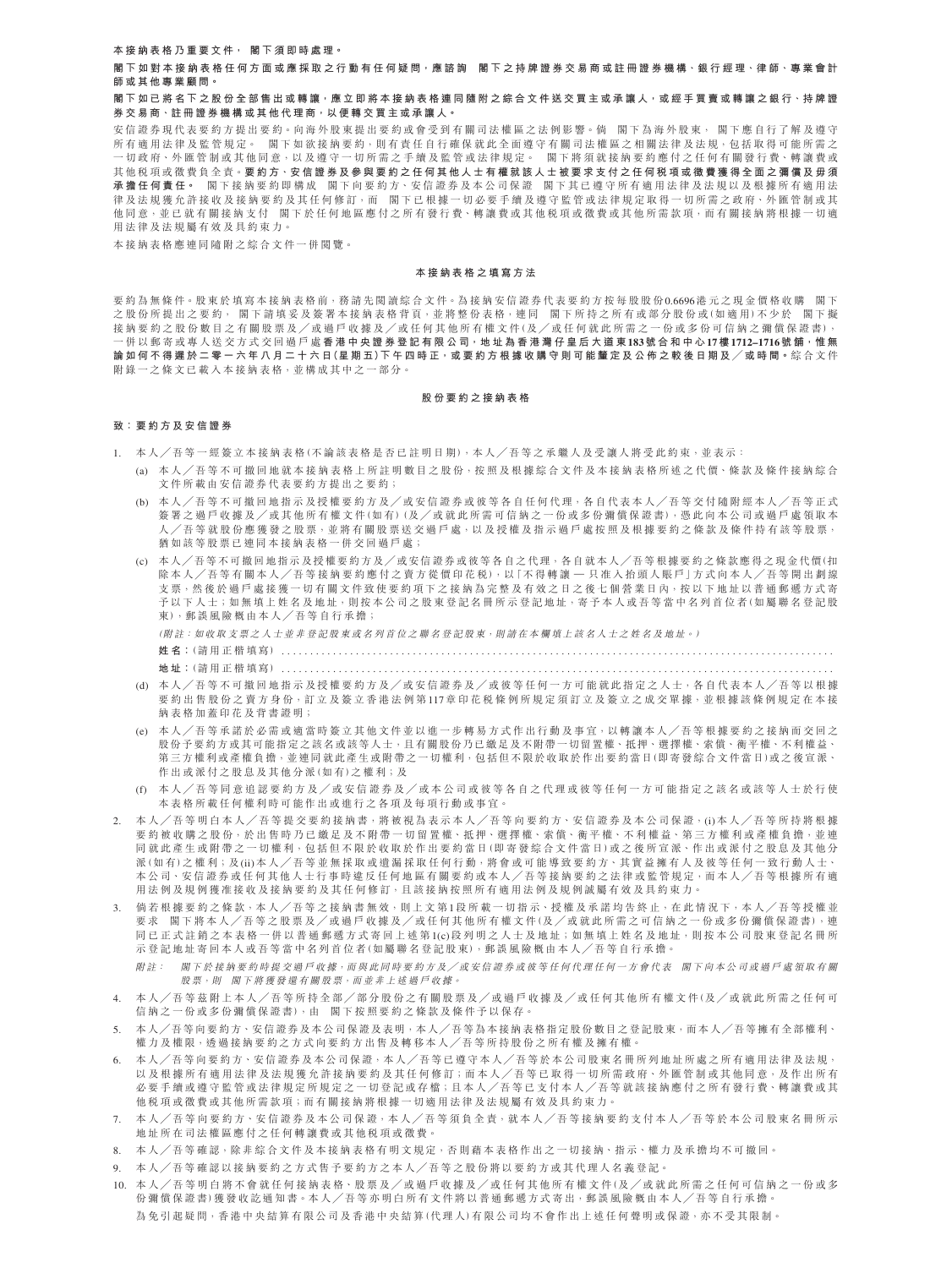### **本 接 納 表 格 乃 重 要 文 件, 閣 下 須 即 時 處 理。**

閣下如對本接納表格任何方面或應採取之行動有任何疑問<sup>,</sup>應諮詢 閣下之持牌證券交易商或註冊證券機構、銀行經理、律師、專業會計 **師 或 其 他 專 業 顧 問。**

# 閣下如已將名下之股份全部售出或轉讓<sup>,</sup>應立即將本接納表格連同隨附之綜合文件送交買主或承讓人<sup>,</sup>或經手買賣或轉讓之銀行、持牌證 **券 交 易 商、註 冊 證 券 機 構 或 其 他 代 理 商,以 便 轉 交 買 主 或 承 讓 人。**

安信證券現代表要約方提出要約。向海外股東提出要約或會受到有關司法權區之法例影響。倘 閣下為海外股東, 閣下應自行了解及遵守 所有適用法律及監管規定。 閣下如欲接納要約,則有責任自行確保就此全面遵守有關司法權區之相關法律及法規,包括取得可能所需之 一 切 政 府、外 匯 管 制 或 其 他 同 意,以 及 遵 守 一 切 所 需 之 手 續 及 監 管 或 法 律 規 定。 閣 下 將 須 就 接 納 要 約 應 付 之 任 何 有 關 發 行 費、轉 讓 費 或 其他税項或徵費負全責。要約方、安信證券及參與要約之任何其他人士有權就該人士被要求支付之任何税項或徵費獲得全面之彌償及毋須 **承 擔 任 何 責 任。** 閣 下 接 納 要 約 即 構 成 閣 下 向 要 約 方、安 信 證 券 及 本 公 司 保 證 閣 下 其 已 遵 守 所 有 適 用 法 律 及 法 規 以 及 根 據 所 有 適 用 法 律及法規獲允許接收及接納要約及其任何修訂,而 閣下已根據一切必要手續及遵守監管或法律規定取得一切所需之政府、外匯管制或其 他同意,並已就有關接納支付 閣下於任何地區應付之所有發行費、轉讓費或其他税項或徵費或其他所需款項,而有關接納將根據一切適 用法律及法規屬有效及具約束力。

本 接 納 表 格 應 連 同 隨 附 之 綜 合 文 件 一 併 閱 覽。

#### **本 接 納 表 格 之 填 寫 方 法**

要約為無條件。股東於填寫本接納表格前,務請先閱讀綜合文件。為接納安信證券代表要約方按每股股份0.6696港元之現金價格收購 閣下 之 股 份 所 提 出 之 要 約 , 閣 下 請 填 妥 及 簽 署 本 接 納 表 格 背 頁 ,並 將 整 份 表 格 ,連 同 閣 下 拆 持 之 所 有 或 部 分 股 份 或 (如 適 用)不 少 於 閣 下 擬 接 納 要 約 之 股 份 數 目 之 有 關 股 票 及 / 或 過 戶 收 據 及 / 或 任 何 其 他 所 有 權 文 件 (及 / 或 任 何 就 此 所 需 之 一 份 或 多 份 可 信 納 之 彌 償 保 證 書), 一併以郵寄或專人送交方式交回過戶處香港中央證券登記有限公司,地址為香港灣仔皇后大道東183號合和中心17樓1712-1716號舖,惟無 論如何不得遲於二零一六年八月二十六日(星期五)下午四時正<sup>,</sup>或要約方根據收購守則可能釐定及公佈之較後日期及/或時間。綜合文件 附錄 一 之 修 文 已 載 入 本 接 纳 表 格 , 並 構 成 其 中 之 一 部 分 。

#### **股 份 要 約 之 接 納 表 格**

### **致:要 約 方 及 安 信 證 券**

- 1. 本人/吾等一經簽立本接納表格(不論該表格是否已註明日期),本人/吾等之承繼人及受讓人將受此約束,並表示:
	- (a) 本 人 ╱ 吾 等 不 可 撤 回 地 就 本 接 納 表 格 上 所 註 明 數 目 之 股 份,按 照 及 根 據 綜 合 文 件 及 本 接 納 表 格 所 述 之 代 價、條 款 及 條 件 接 納 綜 合 文件 所 載 由 安 信 證 券 代 表 要 約 方 提 出 之 要 約;
	- (b) 本人/吾等不可撤回地指示及授權要約方及/或安信證券或彼等各自任何代理,各自代表本人/吾等交付隨附經本人/吾等正式 簽署之過戶收據及/或其他所有權文件(如有)(及/或就此所需可信納之一份或多份彌償保證書),憑此向本公司或過戶處領取本 人 / 吾等就股份應獲發之股票,並將有關股票送交過戶處, 以及授權及指示過戶處按照及根據要約之條款及條件持有該等股票, 猶 如 該 等 股 票 已 連 同 本 接 纳 表 格 一 併 交 回 過 戶 處;
	- (c) 本人╱吾等不可撤回地指示及授權要約方及╱或安信證券或彼等各自之代理,各自就本人╱吾等根據要約之條款應得之現金代價(扣 除本人/吾等有關本人/吾等接納要約應付之賣方從價印花税),以「不得轉讓一只准入抬頭人賬戶」方式向本人/吾等開出劃線 支票,然後於過戶處接獲一切有關文件致使要約項下之接納為完整及有效之日之後七個營業日內,按以下地址以普通郵遞方式寄 予以下人士;如無填上姓名及地址,則按本公司之股東登記名冊所示登記地址,寄予本人或吾等當中名列首位者(如屬聯名登記股 東),郵誤風險概由本人/吾等自行承擔;

(附註: 如收取支票之人士並非登記股東或名列首位之聯名登記股東,則請在本欄填上該名人士之姓名及地址。)

**姓 名:**(請 用 正 楷 填 寫) . . . . . . . . . . . . . . . . . . . . . . . . . . . . . . . . . . . . . . . . . . . . . . . . . . . . . . . . . . . . . . . . . . . . . . . . . . . . . . . . . . . . . . . . . . . . . . . . .

**地 址:**(請 用 正 楷 填 寫) . . . . . . . . . . . . . . . . . . . . . . . . . . . . . . . . . . . . . . . . . . . . . . . . . . . . . . . . . . . . . . . . . . . . . . . . . . . . . . . . . . . . . . . . . . . . . . . . .

- (d) 本人/吾等不可撤回地指示及授權要約方及/或安信證券及/或彼等任何一方可能就此指定之人士,各自代表本人/吾等以根據 要 約 出 售 股 份 之 賣 方 身 份, 訂 立 及 簽 立 香 港 法 例 第117章 印 花 税 條 例 所 規 定 須 訂 立 及 簽 立 之 成 交 單 據, 並 根 據 該 條 例 規 定 在 本 接 纳 表 格 加 蓄 印 花 及 背 書 證 明;
- (e) 本人/吾等承諾於必需或適當時簽立其他文件並以進一步轉易方式作出行動及事宜,以轉讓本人/吾等根據要約之接納而交回之 股份予要約方或其可能指定之該名或該等人士,且有關股份乃已繳足及不附帶一切留置權、抵押、選擇權、索償、衡平權、不利權益、 第三方權利或產權負擔,並連同就此產生或附帶之一切權利,包括但不限於收取於作出要約當日(即寄發綜合文件當日)或之後宣派、 作 出 或 派 付 之 股 息 及 其 他 分 派 ( 如 有 ) 之 權 利 ; 及
- (f) 本人/吾等同意追認要約方及/或安信證券及/或本公司或彼等各自之代理或彼等任何一方可能指定之該名或該等人士於行使 本表格所載任何權利時可能作出或進行之各項及每項行動或事宜。
- 2. 本人/吾等明白本人/吾等提交要約接納書,將被視為表示本人/吾等向要約方、安信證券及本公司保證,(i)本人/吾等所持將根據 要約被收購之股份,於出售時乃已繳足及不附帶一切留置權、抵押、選擇權、索償、衡平權、不利權益、第三方權利或產權負擔,並連 同 就 此 產 生 或 附 帶 之 一 切 權 利, 包 括 但 不 限 於 收 取 於 作 出 要 約 當 日 (即 寄 發 綜 合 文 件 當 日) 或 之 後 所 宣 派 、 作 出 或 派 付 之 股 息 及 其 他 分 派(如有)之權利;及(ii)本人/吾等並無採取或遺漏採取任何行動,將會或可能導致要約方、其實益擁有人及彼等任何一致行動人士、 本公司、安信證券或任何其他人士行事時違反任何地區有關要約或本人/吾等接納要約之法律或監管規定,而本人/吾等根據所有適 用法例及規例獲准接收及接納要約及其任何修訂,且該接納按照所有適用法例及規例誠屬有效及具約束力。
- 3. 倘若根據要約之條款,本人/吾等之接納書無效,則上文第1段所載一切指示、授權及承諾均告終止,在此情況下,本人/吾等授權並 要求 閣下將本人/吾等之股票及/或過戶收據及/或任何其他所有權文件(及/或就此所需之可信納之一份或多份彌償保證書),連 同已 正式註 銷之本表格一併以普通郵遞方式寄回上述第1(c)段列明之人士及地址;如無填上姓名及地址,則按本公司股東登記名冊所 示 登 記 地 址 寄 回 本 人 或 吾 等 當 中 名 列 首 位 者 (如 屬 聯 名 登 記 股 東),郵 誤 風 險 概 由 本 人 / 吾 等 自 行 承 擔。
	- 附註: 閣下於接納要約時提交過戶收據,而與此同時要約方及/或安信證券或彼等任何代理任何一方會代表 閣下向本公司或過戶處領取有關 股票,則 閣下將獲發還有關股票,而並非上述過戶收據。
- 4. 本人/吾等茲附上本人/吾等所持全部/部分股份之有關股票及/或過戶收據及/或任何其他所有權文件(及/或就此所需之任何可 信 納 之 一 份 或 多 份 彌 僧 保 證 書), 由 閣 下 按 照 要 約 之 條 款 及 條 件 予 以 保 存 。
- 5. 本人/吾等向要約方、安信證券及本公司保證及表明,本人/吾等為本接納表格指定股份數目之登記股東,而本人/吾等擁有全部權利、 權力及權限,透過接納要約之方式向要約方出售及轉移本人/吾等所持股份之所有權及擁有權。
- 本人╱吾等向要約方、安信證券及本公司保證,本人╱吾等已遵守本人╱吾等於本公司股東名冊所列地址所處之所有適用法律及法規, 以及根據所有適用法律及法規獲允許接納要約及其任何修訂;而本人/吾等已取得一切所需政府、外匯管制或其他同意,及作出所有 必 要 手 續 或 遵 守 監 管 或 法 律 規 定 所 規 定 之 一 切 登 記 或 存 檔;且 本 人 / 吾 等 已 支 付 本 人 / 吾 等 就 該 接 納 應 付 之 所 有 發 行 費、 轉 讓 費 或 其 他 稅 項 或 徵 費 或 其 他 所 需 款 項;而 有 關 接 納 將 根 據 一 切 適 用 法 律 及 法 規 屬 有 效 及 具 約 束 力。
- 7. 本人/吾等向要約方、安信證券及本公司保證,本人/吾等須負全責,就本人/吾等接納要約支付本人/吾等於本公司股東名冊所示 地 址 所 在 司 法 權 區 應 付 之 任 何 轉 讓 費 或 其 他 稅 項 或 徵 費。
- 8. 本人/吾等確認,除非綜合文件及本接納表格有明文規定,否則藉本表格作出之一切接納、指示、權力及承擔均不可撤回。
- 9. 本人/吾等確認以接納要約之方式售予要約方之本人/吾等之股份將以要約方或其代理人名義登記。
- 10. 本人 ╱ 吾 等 明 白 將 不 會 就 任 何 接 納 表 格、 股 票 及 ╱ 或 過 戶 收 據 及 ╱ 或 任 何 其 他 所 有 權 文 件 (及 ╱ 或 就 此 所 需 之 任 何 可 信 納 之 一 份 或 多 份彌償保證書)獲發收訖通知書。本人/吾等亦明白所有文件將以普通郵遞方式寄出,郵誤風險概由本人/吾等自行承擔。 為免引起疑問,香港中央結算有限公司及香港中央結算(代理人)有限公司均不會作出上述任何聲明或保證,亦不受其限制。